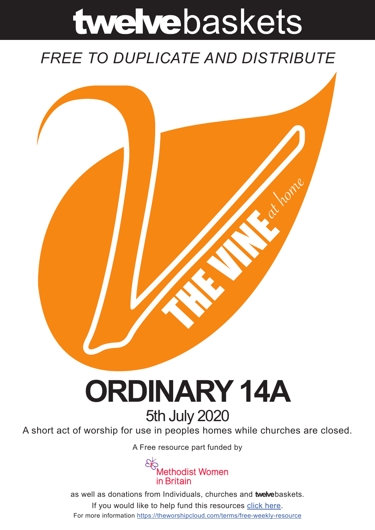# twelvebaskets

### *FREE TO DUPLICATE AND DISTRIBUTE*



## **ORDINARY 14A** 5th July 2020

A short act of worship for use in peoples homes while churches are closed.

A [Free resource part funded](https://mwib.org.uk) by



as well as donations from Individuals, churches and **twelve**baskets. If you would like to help fund this resources [click here]( https://theworshipcloud.com/tags/donation). For more information<https://theworshipcloud.com/terms/free-weekly-resource>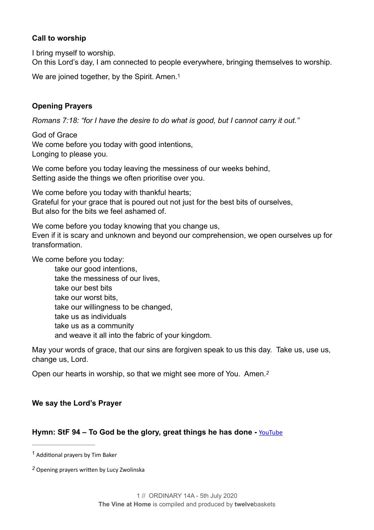#### **Call to worship**

I bring myself to worship.

On this Lord's day, I am connected to people everywhere, bringing themselves to worship.

<span id="page-1-2"></span>We are joined together, by the Spirit. Amen.<sup>1</sup>

#### **Opening Prayers**

*Romans 7:18: "for I have the desire to do what is good, but I cannot carry it out."* 

God of Grace We come before you today with good intentions, Longing to please you.

We come before you today leaving the messiness of our weeks behind, Setting aside the things we often prioritise over you.

We come before you today with thankful hearts: Grateful for your grace that is poured out not just for the best bits of ourselves, But also for the bits we feel ashamed of.

We come before you today knowing that you change us, Even if it is scary and unknown and beyond our comprehension, we open ourselves up for transformation.

We come before you today:

 take our good intentions, take the messiness of our lives, take our best bits take our worst bits, take our willingness to be changed, take us as individuals take us as a community and weave it all into the fabric of your kingdom.

May your words of grace, that our sins are forgiven speak to us this day. Take us, use us, change us, Lord.

<span id="page-1-3"></span>Open our hearts in worship, so that we might see more of You. Amen.*[2](#page-1-1)*

#### **We say the Lord's Prayer**

#### **Hymn: StF 94 – To God be the glory, great things he has done -** [YouTube](https://youtu.be/vU93wBUV9jo)

<span id="page-1-0"></span> $1$  Additional prayers by Tim Baker

<span id="page-1-1"></span><sup>&</sup>lt;sup>[2](#page-1-3)</sup> Opening prayers written by Lucy Zwolinska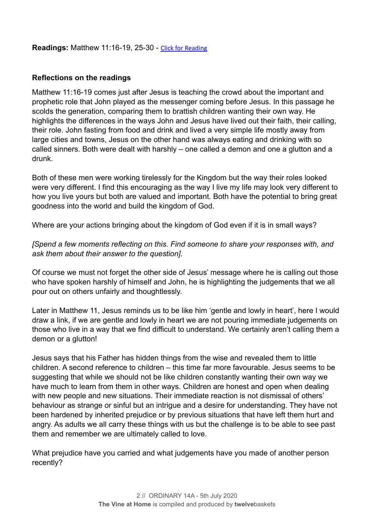**Readings:** Matthew 11:16-19, 25-30 - [Click for Reading](https://www.biblegateway.com/passage/?search=Matthew+11:16-19,+25-30&version=NRSV)

#### **Reflections on the readings**

Matthew 11:16-19 comes just after Jesus is teaching the crowd about the important and prophetic role that John played as the messenger coming before Jesus. In this passage he scolds the generation, comparing them to brattish children wanting their own way. He highlights the differences in the ways John and Jesus have lived out their faith, their calling, their role. John fasting from food and drink and lived a very simple life mostly away from large cities and towns, Jesus on the other hand was always eating and drinking with so called sinners. Both were dealt with harshly – one called a demon and one a glutton and a drunk.

Both of these men were working tirelessly for the Kingdom but the way their roles looked were very different. I find this encouraging as the way I live my life may look very different to how you live yours but both are valued and important. Both have the potential to bring great goodness into the world and build the kingdom of God.

Where are your actions bringing about the kingdom of God even if it is in small ways?

*[Spend a few moments reflecting on this. Find someone to share your responses with, and ask them about their answer to the question].* 

Of course we must not forget the other side of Jesus' message where he is calling out those who have spoken harshly of himself and John, he is highlighting the judgements that we all pour out on others unfairly and thoughtlessly.

Later in Matthew 11, Jesus reminds us to be like him 'gentle and lowly in heart', here I would draw a link, if we are gentle and lowly in heart we are not pouring immediate judgements on those who live in a way that we find difficult to understand. We certainly aren't calling them a demon or a glutton!

Jesus says that his Father has hidden things from the wise and revealed them to little children. A second reference to children – this time far more favourable. Jesus seems to be suggesting that while we should not be like children constantly wanting their own way we have much to learn from them in other ways. Children are honest and open when dealing with new people and new situations. Their immediate reaction is not dismissal of others' behaviour as strange or sinful but an intrigue and a desire for understanding. They have not been hardened by inherited prejudice or by previous situations that have left them hurt and angry. As adults we all carry these things with us but the challenge is to be able to see past them and remember we are ultimately called to love.

What prejudice have you carried and what judgements have you made of another person recently?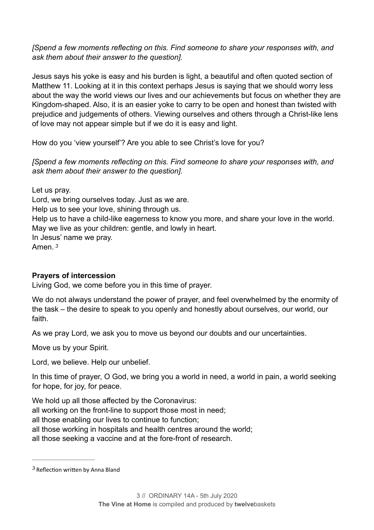*[Spend a few moments reflecting on this. Find someone to share your responses with, and ask them about their answer to the question].* 

Jesus says his yoke is easy and his burden is light, a beautiful and often quoted section of Matthew 11. Looking at it in this context perhaps Jesus is saying that we should worry less about the way the world views our lives and our achievements but focus on whether they are Kingdom-shaped. Also, it is an easier yoke to carry to be open and honest than twisted with prejudice and judgements of others. Viewing ourselves and others through a Christ-like lens of love may not appear simple but if we do it is easy and light.

How do you 'view yourself'? Are you able to see Christ's love for you?

*[Spend a few moments reflecting on this. Find someone to share your responses with, and ask them about their answer to the question].* 

Let us pray. Lord, we bring ourselves today. Just as we are. Help us to see your love, shining through us. Help us to have a child-like eagerness to know you more, and share your love in the world. May we live as your children: gentle, and lowly in heart. In Jesus' name we pray. Amen. *[3](#page-3-0)*

#### <span id="page-3-1"></span>**Prayers of intercession**

Living God, we come before you in this time of prayer.

We do not always understand the power of prayer, and feel overwhelmed by the enormity of the task – the desire to speak to you openly and honestly about ourselves, our world, our faith.

As we pray Lord, we ask you to move us beyond our doubts and our uncertainties.

Move us by your Spirit.

Lord, we believe. Help our unbelief.

In this time of prayer, O God, we bring you a world in need, a world in pain, a world seeking for hope, for joy, for peace.

We hold up all those affected by the Coronavirus:

all working on the front-line to support those most in need;

all those enabling our lives to continue to function;

all those working in hospitals and health centres around the world;

all those seeking a vaccine and at the fore-front of research.

<span id="page-3-0"></span><sup>&</sup>lt;sup>[3](#page-3-1)</sup> Reflection written by Anna Bland